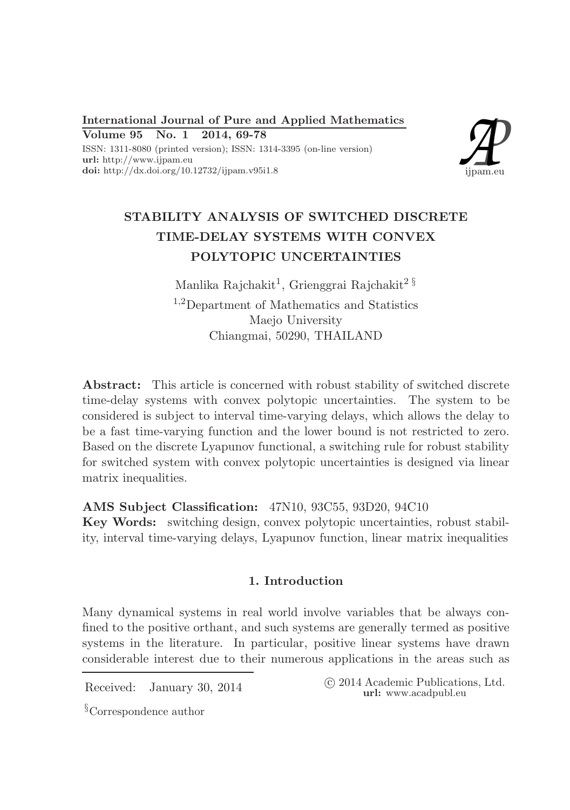International Journal of Pure and Applied Mathematics Volume 95 No. 1 2014, 69-78 ISSN: 1311-8080 (printed version); ISSN: 1314-3395 (on-line version) url: http://www.ijpam.eu doi: http://dx.doi.org/10.12732/ijpam.v95i1.8



# STABILITY ANALYSIS OF SWITCHED DISCRETE TIME-DELAY SYSTEMS WITH CONVEX POLYTOPIC UNCERTAINTIES

Manlika Rajchakit $^1$ , Grienggrai Rajchakit $^2$   $^8$ <sup>1</sup>,2Department of Mathematics and Statistics Maejo University Chiangmai, 50290, THAILAND

Abstract: This article is concerned with robust stability of switched discrete time-delay systems with convex polytopic uncertainties. The system to be considered is subject to interval time-varying delays, which allows the delay to be a fast time-varying function and the lower bound is not restricted to zero. Based on the discrete Lyapunov functional, a switching rule for robust stability for switched system with convex polytopic uncertainties is designed via linear matrix inequalities.

AMS Subject Classification: 47N10, 93C55, 93D20, 94C10

Key Words: switching design, convex polytopic uncertainties, robust stability, interval time-varying delays, Lyapunov function, linear matrix inequalities

# 1. Introduction

Many dynamical systems in real world involve variables that be always confined to the positive orthant, and such systems are generally termed as positive systems in the literature. In particular, positive linear systems have drawn considerable interest due to their numerous applications in the areas such as

Received: January 30, 2014 ( $\degree$  2014 Academic Publications, Ltd. url: www.acadpubl.eu

§Correspondence author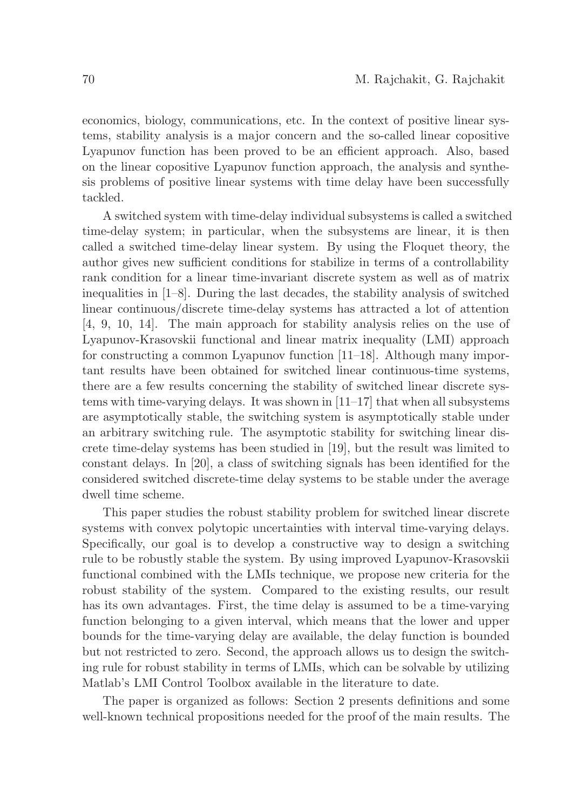economics, biology, communications, etc. In the context of positive linear systems, stability analysis is a major concern and the so-called linear copositive Lyapunov function has been proved to be an efficient approach. Also, based on the linear copositive Lyapunov function approach, the analysis and synthesis problems of positive linear systems with time delay have been successfully tackled.

A switched system with time-delay individual subsystems is called a switched time-delay system; in particular, when the subsystems are linear, it is then called a switched time-delay linear system. By using the Floquet theory, the author gives new sufficient conditions for stabilize in terms of a controllability rank condition for a linear time-invariant discrete system as well as of matrix inequalities in [1–8]. During the last decades, the stability analysis of switched linear continuous/discrete time-delay systems has attracted a lot of attention [4, 9, 10, 14]. The main approach for stability analysis relies on the use of Lyapunov-Krasovskii functional and linear matrix inequality (LMI) approach for constructing a common Lyapunov function [11–18]. Although many important results have been obtained for switched linear continuous-time systems, there are a few results concerning the stability of switched linear discrete systems with time-varying delays. It was shown in [11–17] that when all subsystems are asymptotically stable, the switching system is asymptotically stable under an arbitrary switching rule. The asymptotic stability for switching linear discrete time-delay systems has been studied in [19], but the result was limited to constant delays. In [20], a class of switching signals has been identified for the considered switched discrete-time delay systems to be stable under the average dwell time scheme.

This paper studies the robust stability problem for switched linear discrete systems with convex polytopic uncertainties with interval time-varying delays. Specifically, our goal is to develop a constructive way to design a switching rule to be robustly stable the system. By using improved Lyapunov-Krasovskii functional combined with the LMIs technique, we propose new criteria for the robust stability of the system. Compared to the existing results, our result has its own advantages. First, the time delay is assumed to be a time-varying function belonging to a given interval, which means that the lower and upper bounds for the time-varying delay are available, the delay function is bounded but not restricted to zero. Second, the approach allows us to design the switching rule for robust stability in terms of LMIs, which can be solvable by utilizing Matlab's LMI Control Toolbox available in the literature to date.

The paper is organized as follows: Section 2 presents definitions and some well-known technical propositions needed for the proof of the main results. The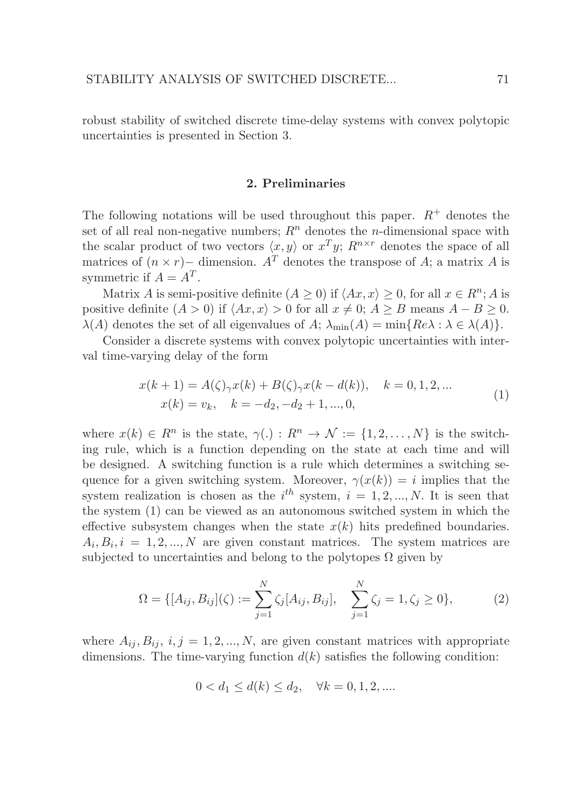robust stability of switched discrete time-delay systems with convex polytopic uncertainties is presented in Section 3.

### 2. Preliminaries

The following notations will be used throughout this paper.  $R^+$  denotes the set of all real non-negative numbers;  $R<sup>n</sup>$  denotes the *n*-dimensional space with the scalar product of two vectors  $\langle x, y \rangle$  or  $x^T y$ ;  $R^{n \times r}$  denotes the space of all matrices of  $(n \times r)$  – dimension. A<sup>T</sup> denotes the transpose of A; a matrix A is symmetric if  $A = A^T$ .

Matrix A is semi-positive definite  $(A \ge 0)$  if  $\langle Ax, x \rangle \ge 0$ , for all  $x \in R^n; A$  is positive definite  $(A > 0)$  if  $\langle Ax, x \rangle > 0$  for all  $x \neq 0; A \geq B$  means  $A - B \geq 0$ .  $\lambda(A)$  denotes the set of all eigenvalues of A;  $\lambda_{\min}(A) = \min\{Re\lambda : \lambda \in \lambda(A)\}.$ 

Consider a discrete systems with convex polytopic uncertainties with interval time-varying delay of the form

$$
x(k+1) = A(\zeta)_{\gamma} x(k) + B(\zeta)_{\gamma} x(k - d(k)), \quad k = 0, 1, 2, ...
$$
  
\n
$$
x(k) = v_k, \quad k = -d_2, -d_2 + 1, ..., 0,
$$
\n(1)

where  $x(k) \in R^n$  is the state,  $\gamma(.) : R^n \to \mathcal{N} := \{1, 2, ..., N\}$  is the switching rule, which is a function depending on the state at each time and will be designed. A switching function is a rule which determines a switching sequence for a given switching system. Moreover,  $\gamma(x(k)) = i$  implies that the system realization is chosen as the  $i^{th}$  system,  $i = 1, 2, ..., N$ . It is seen that the system (1) can be viewed as an autonomous switched system in which the effective subsystem changes when the state  $x(k)$  hits predefined boundaries.  $A_i, B_i, i = 1, 2, ..., N$  are given constant matrices. The system matrices are subjected to uncertainties and belong to the polytopes  $\Omega$  given by

$$
\Omega = \{ [A_{ij}, B_{ij}](\zeta) := \sum_{j=1}^{N} \zeta_j [A_{ij}, B_{ij}], \quad \sum_{j=1}^{N} \zeta_j = 1, \zeta_j \ge 0 \},\tag{2}
$$

where  $A_{ij}, B_{ij}, i, j = 1, 2, ..., N$ , are given constant matrices with appropriate dimensions. The time-varying function  $d(k)$  satisfies the following condition:

$$
0 < d_1 \le d(k) \le d_2, \quad \forall k = 0, 1, 2, \dots
$$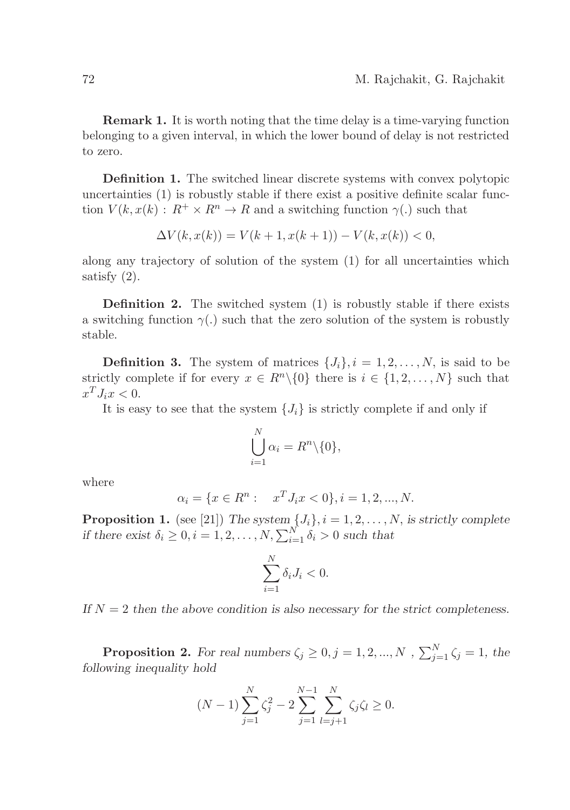Remark 1. It is worth noting that the time delay is a time-varying function belonging to a given interval, in which the lower bound of delay is not restricted to zero.

Definition 1. The switched linear discrete systems with convex polytopic uncertainties (1) is robustly stable if there exist a positive definite scalar function  $V(k, x(k) : R^+ \times R^n \to R$  and a switching function  $\gamma(.)$  such that

$$
\Delta V(k, x(k)) = V(k+1, x(k+1)) - V(k, x(k)) < 0,
$$

along any trajectory of solution of the system (1) for all uncertainties which satisfy (2).

**Definition 2.** The switched system  $(1)$  is robustly stable if there exists a switching function  $\gamma(.)$  such that the zero solution of the system is robustly stable.

**Definition 3.** The system of matrices  $\{J_i\}$ ,  $i = 1, 2, ..., N$ , is said to be strictly complete if for every  $x \in R^n \setminus \{0\}$  there is  $i \in \{1, 2, ..., N\}$  such that  $x^T J_i x < 0.$ 

It is easy to see that the system  $\{J_i\}$  is strictly complete if and only if

$$
\bigcup_{i=1}^{N} \alpha_i = R^n \backslash \{0\},\
$$

where

$$
\alpha_i = \{ x \in R^n : \quad x^T J_i x < 0 \}, i = 1, 2, \dots, N.
$$

**Proposition 1.** (see [21]) The system  $\{J_i\}$ ,  $i = 1, 2, ..., N$ , is strictly complete if there exist  $\delta_i \geq 0, i = 1, 2, ..., N, \sum_{i=1}^{N} \delta_i > 0$  such that

$$
\sum_{i=1}^{N} \delta_i J_i < 0.
$$

If  $N = 2$  then the above condition is also necessary for the strict completeness.

**Proposition 2.** For real numbers  $\zeta_j \geq 0, j = 1, 2, ..., N$ ,  $\sum_{j=1}^{N} \zeta_j = 1$ , the following inequality hold

$$
(N-1)\sum_{j=1}^{N} \zeta_j^2 - 2\sum_{j=1}^{N-1} \sum_{l=j+1}^{N} \zeta_j \zeta_l \ge 0.
$$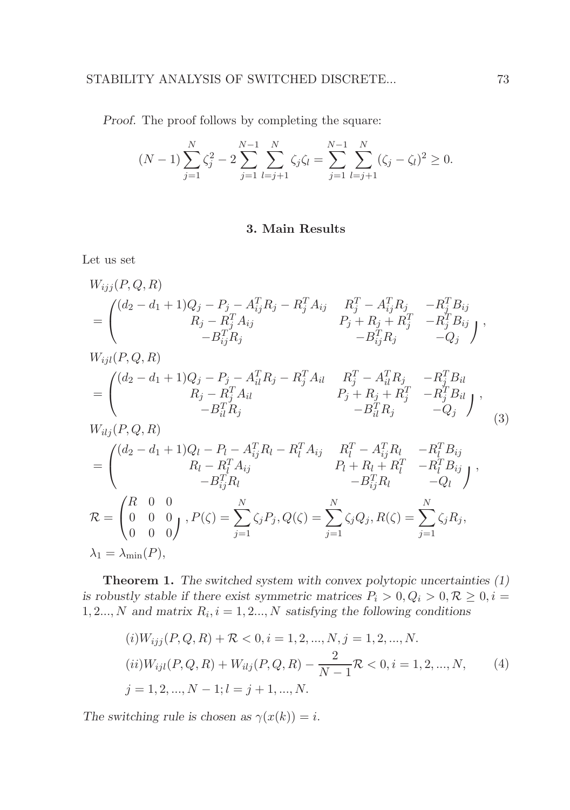Proof. The proof follows by completing the square:

$$
(N-1)\sum_{j=1}^{N}\zeta_j^2 - 2\sum_{j=1}^{N-1}\sum_{l=j+1}^{N}\zeta_j\zeta_l = \sum_{j=1}^{N-1}\sum_{l=j+1}^{N}(\zeta_j - \zeta_l)^2 \ge 0.
$$

## 3. Main Results

Let us set

$$
W_{ijj}(P,Q,R)
$$
  
\n
$$
= \begin{pmatrix} (d_2 - d_1 + 1)Q_j - P_j - A_{ij}^T R_j - R_j^T A_{ij} & R_j^T - A_{ij}^T R_j & -R_j^T B_{ij} \\ R_j - R_j^T A_{ij} & P_j + R_j + R_j^T & -R_j^T B_{ij} \\ -B_{ij}^T R_j & -B_{ij}^T R_j & -Q_j \end{pmatrix},
$$
  
\n
$$
W_{ijl}(P,Q,R)
$$
  
\n
$$
= \begin{pmatrix} (d_2 - d_1 + 1)Q_j - P_j - A_{il}^T R_j - R_j^T A_{il} & R_j^T - A_{il}^T R_j & -R_j^T B_{il} \\ R_j - R_j^T A_{il} & P_j + R_j + R_j^T & -R_j^T B_{il} \\ -B_{il}^T R_j & -B_{il}^T R_j & -Q_j \end{pmatrix},
$$
  
\n
$$
W_{ilj}(P,Q,R)
$$
  
\n
$$
= \begin{pmatrix} (d_2 - d_1 + 1)Q_l - P_l - A_{ij}^T R_l - R_l^T A_{ij} & R_l^T - A_{ij}^T R_l & -R_l^T B_{ij} \\ R_l - R_l^T A_{ij} & P_l + R_l + R_l^T & -R_l^T B_{ij} \\ -B_{ij}^T R_l & -B_{ij}^T R_l & -Q_l \end{pmatrix},
$$
  
\n
$$
\mathcal{R} = \begin{pmatrix} R & 0 & 0 \\ 0 & 0 & 0 \\ 0 & 0 & 0 \end{pmatrix}, P(\zeta) = \sum_{j=1}^N \zeta_j P_j, Q(\zeta) = \sum_{j=1}^N \zeta_j Q_j, R(\zeta) = \sum_{j=1}^N \zeta_j R_j,
$$
  
\n
$$
\lambda_1 = \lambda_{\min}(P),
$$

Theorem 1. The switched system with convex polytopic uncertainties (1) is robustly stable if there exist symmetric matrices  $P_i > 0, Q_i > 0, R \geq 0, i =$  $1, 2..., N$  and matrix  $R_i$ ,  $i = 1, 2..., N$  satisfying the following conditions

$$
(i)W_{ijj}(P,Q,R) + \mathcal{R} < 0, i = 1, 2, \dots, N, j = 1, 2, \dots, N.
$$
\n
$$
(ii)W_{ijl}(P,Q,R) + W_{ilj}(P,Q,R) - \frac{2}{N-1}\mathcal{R} < 0, i = 1, 2, \dots, N,
$$
\n
$$
(4)
$$
\n
$$
j = 1, 2, \dots, N-1; l = j+1, \dots, N.
$$

The switching rule is chosen as  $\gamma(x(k)) = i$ .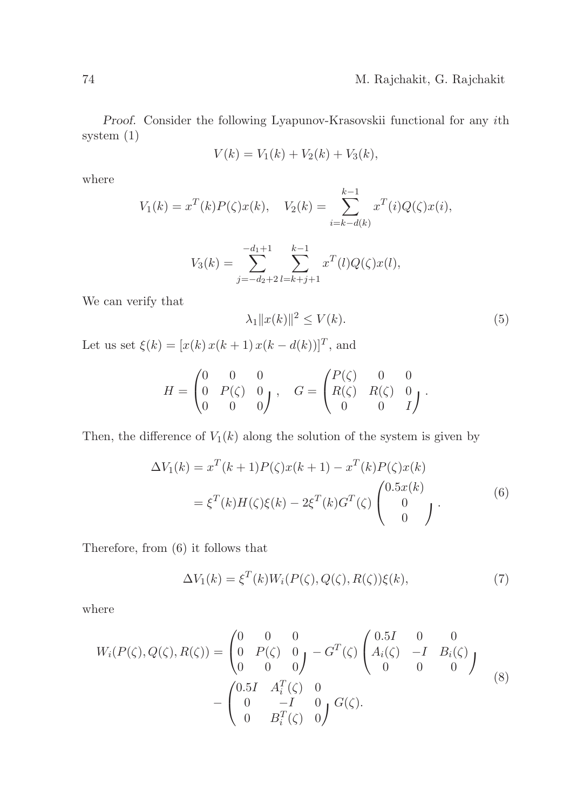Proof. Consider the following Lyapunov-Krasovskii functional for any ith system (1)

$$
V(k) = V_1(k) + V_2(k) + V_3(k),
$$

where

$$
V_1(k) = x^T(k)P(\zeta)x(k), \quad V_2(k) = \sum_{i=k-d(k)}^{k-1} x^T(i)Q(\zeta)x(i),
$$
  

$$
-d_1 + 1 \qquad k-1
$$

$$
V_3(k) = \sum_{j=-d_2+2}^{-d_1+1} \sum_{l=k+j+1}^{k-1} x^T(l) Q(\zeta) x(l),
$$

We can verify that

$$
\lambda_1 \|x(k)\|^2 \le V(k). \tag{5}
$$

Let us set  $\xi(k) = [x(k)x(k+1)x(k-d(k))]^T$ , and

$$
H = \begin{pmatrix} 0 & 0 & 0 \\ 0 & P(\zeta) & 0 \\ 0 & 0 & 0 \end{pmatrix}, \quad G = \begin{pmatrix} P(\zeta) & 0 & 0 \\ R(\zeta) & R(\zeta) & 0 \\ 0 & 0 & I \end{pmatrix}.
$$

Then, the difference of  $V_1(k)$  along the solution of the system is given by

$$
\Delta V_1(k) = x^T(k+1)P(\zeta)x(k+1) - x^T(k)P(\zeta)x(k)
$$

$$
= \xi^T(k)H(\zeta)\xi(k) - 2\xi^T(k)G^T(\zeta)\begin{pmatrix}0.5x(k)\\0\\0\end{pmatrix}.
$$
(6)

Therefore, from (6) it follows that

$$
\Delta V_1(k) = \xi^T(k)W_i(P(\zeta), Q(\zeta), R(\zeta))\xi(k),\tag{7}
$$

where

$$
W_i(P(\zeta), Q(\zeta), R(\zeta)) = \begin{pmatrix} 0 & 0 & 0 \\ 0 & P(\zeta) & 0 \\ 0 & 0 & 0 \end{pmatrix} - G^T(\zeta) \begin{pmatrix} 0.5I & 0 & 0 \\ A_i(\zeta) & -I & B_i(\zeta) \\ 0 & 0 & 0 \end{pmatrix}
$$

$$
- \begin{pmatrix} 0.5I & A_i^T(\zeta) & 0 \\ 0 & -I & 0 \\ 0 & B_i^T(\zeta) & 0 \end{pmatrix} G(\zeta).
$$
(8)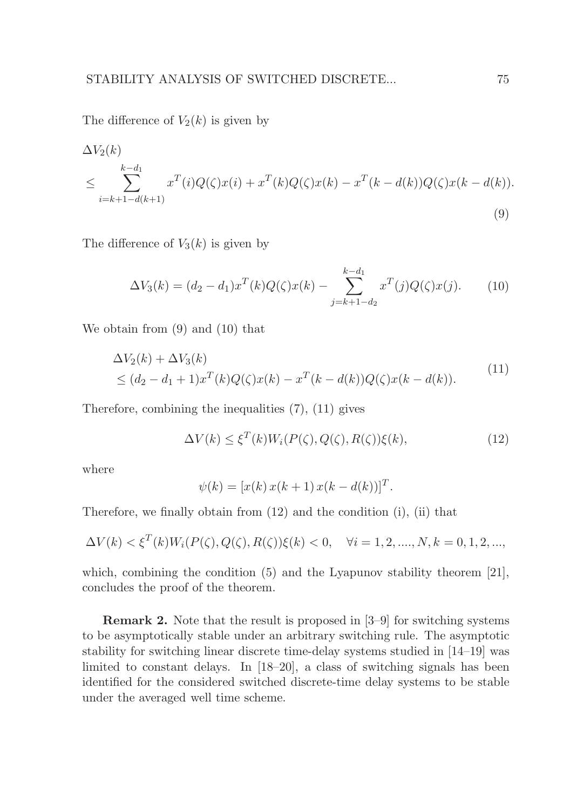The difference of  $V_2(k)$  is given by

$$
\Delta V_2(k) \leq \sum_{i=k+1-d(k+1)}^{k-d_1} x^T(i)Q(\zeta)x(i) + x^T(k)Q(\zeta)x(k) - x^T(k-d(k))Q(\zeta)x(k-d(k)).
$$
\n(9)

The difference of  $V_3(k)$  is given by

$$
\Delta V_3(k) = (d_2 - d_1)x^T(k)Q(\zeta)x(k) - \sum_{j=k+1-d_2}^{k-d_1} x^T(j)Q(\zeta)x(j).
$$
 (10)

We obtain from (9) and (10) that

$$
\Delta V_2(k) + \Delta V_3(k) \n\le (d_2 - d_1 + 1)x^T(k)Q(\zeta)x(k) - x^T(k - d(k))Q(\zeta)x(k - d(k)).
$$
\n(11)

Therefore, combining the inequalities (7), (11) gives

$$
\Delta V(k) \le \xi^T(k)W_i(P(\zeta), Q(\zeta), R(\zeta))\xi(k),\tag{12}
$$

where

$$
\psi(k) = [x(k) x(k+1) x(k-d(k))]^{T}.
$$

Therefore, we finally obtain from (12) and the condition (i), (ii) that

$$
\Delta V(k) < \xi^T(k)W_i(P(\zeta), Q(\zeta), R(\zeta))\xi(k) < 0, \quad \forall i = 1, 2, \dots, N, k = 0, 1, 2, \dots,
$$

which, combining the condition  $(5)$  and the Lyapunov stability theorem [21], concludes the proof of the theorem.

Remark 2. Note that the result is proposed in [3–9] for switching systems to be asymptotically stable under an arbitrary switching rule. The asymptotic stability for switching linear discrete time-delay systems studied in [14–19] was limited to constant delays. In [18–20], a class of switching signals has been identified for the considered switched discrete-time delay systems to be stable under the averaged well time scheme.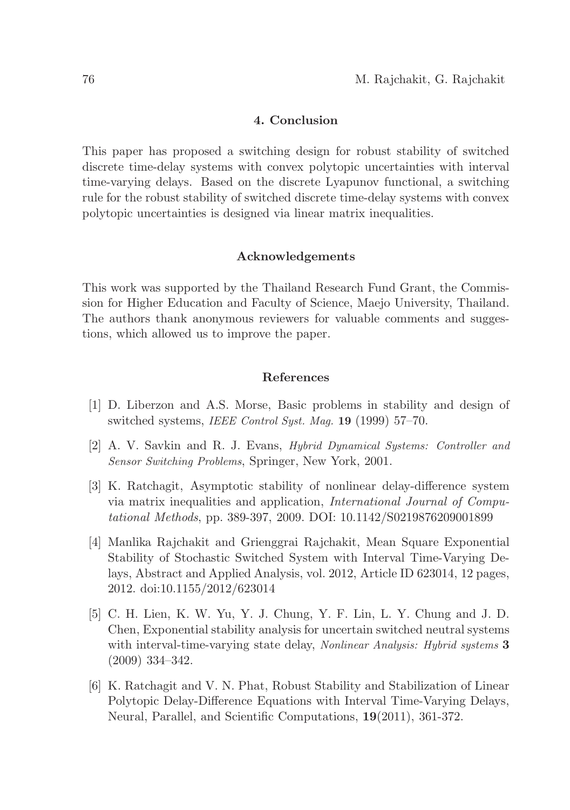## 4. Conclusion

This paper has proposed a switching design for robust stability of switched discrete time-delay systems with convex polytopic uncertainties with interval time-varying delays. Based on the discrete Lyapunov functional, a switching rule for the robust stability of switched discrete time-delay systems with convex polytopic uncertainties is designed via linear matrix inequalities.

#### Acknowledgements

This work was supported by the Thailand Research Fund Grant, the Commission for Higher Education and Faculty of Science, Maejo University, Thailand. The authors thank anonymous reviewers for valuable comments and suggestions, which allowed us to improve the paper.

#### References

- [1] D. Liberzon and A.S. Morse, Basic problems in stability and design of switched systems, *IEEE Control Syst. Mag.* **19** (1999) 57–70.
- [2] A. V. Savkin and R. J. Evans, Hybrid Dynamical Systems: Controller and Sensor Switching Problems, Springer, New York, 2001.
- [3] K. Ratchagit, Asymptotic stability of nonlinear delay-difference system via matrix inequalities and application, International Journal of Computational Methods, pp. 389-397, 2009. DOI: 10.1142/S0219876209001899
- [4] Manlika Rajchakit and Grienggrai Rajchakit, Mean Square Exponential Stability of Stochastic Switched System with Interval Time-Varying Delays, Abstract and Applied Analysis, vol. 2012, Article ID 623014, 12 pages, 2012. doi:10.1155/2012/623014
- [5] C. H. Lien, K. W. Yu, Y. J. Chung, Y. F. Lin, L. Y. Chung and J. D. Chen, Exponential stability analysis for uncertain switched neutral systems with interval-time-varying state delay, Nonlinear Analysis: Hybrid systems 3 (2009) 334–342.
- [6] K. Ratchagit and V. N. Phat, Robust Stability and Stabilization of Linear Polytopic Delay-Difference Equations with Interval Time-Varying Delays, Neural, Parallel, and Scientific Computations, 19(2011), 361-372.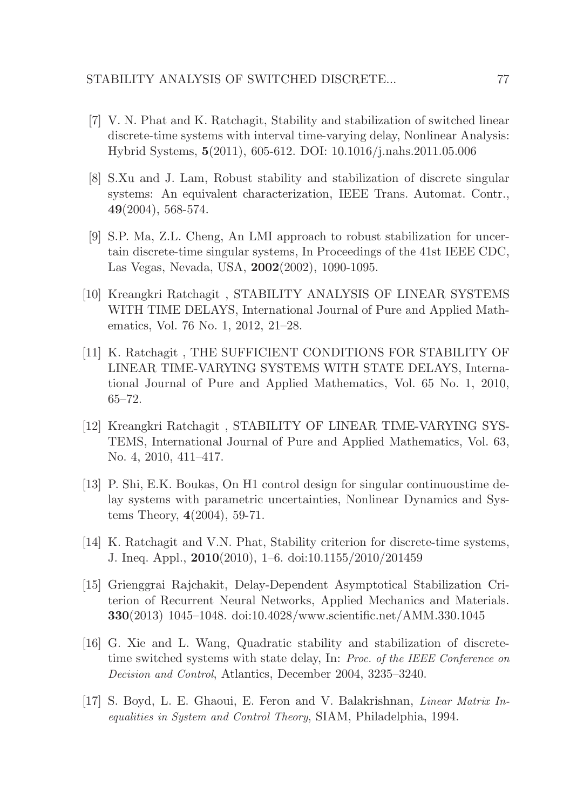- [7] V. N. Phat and K. Ratchagit, Stability and stabilization of switched linear discrete-time systems with interval time-varying delay, Nonlinear Analysis: Hybrid Systems, 5(2011), 605-612. DOI: 10.1016/j.nahs.2011.05.006
- [8] S.Xu and J. Lam, Robust stability and stabilization of discrete singular systems: An equivalent characterization, IEEE Trans. Automat. Contr., 49(2004), 568-574.
- [9] S.P. Ma, Z.L. Cheng, An LMI approach to robust stabilization for uncertain discrete-time singular systems, In Proceedings of the 41st IEEE CDC, Las Vegas, Nevada, USA, 2002(2002), 1090-1095.
- [10] Kreangkri Ratchagit , STABILITY ANALYSIS OF LINEAR SYSTEMS WITH TIME DELAYS, International Journal of Pure and Applied Mathematics, Vol. 76 No. 1, 2012, 21–28.
- [11] K. Ratchagit , THE SUFFICIENT CONDITIONS FOR STABILITY OF LINEAR TIME-VARYING SYSTEMS WITH STATE DELAYS, International Journal of Pure and Applied Mathematics, Vol. 65 No. 1, 2010, 65–72.
- [12] Kreangkri Ratchagit , STABILITY OF LINEAR TIME-VARYING SYS-TEMS, International Journal of Pure and Applied Mathematics, Vol. 63, No. 4, 2010, 411–417.
- [13] P. Shi, E.K. Boukas, On H1 control design for singular continuoustime delay systems with parametric uncertainties, Nonlinear Dynamics and Systems Theory, 4(2004), 59-71.
- [14] K. Ratchagit and V.N. Phat, Stability criterion for discrete-time systems, J. Ineq. Appl., 2010(2010), 1–6. doi:10.1155/2010/201459
- [15] Grienggrai Rajchakit, Delay-Dependent Asymptotical Stabilization Criterion of Recurrent Neural Networks, Applied Mechanics and Materials. 330(2013) 1045–1048. doi:10.4028/www.scientific.net/AMM.330.1045
- [16] G. Xie and L. Wang, Quadratic stability and stabilization of discretetime switched systems with state delay, In: Proc. of the IEEE Conference on Decision and Control, Atlantics, December 2004, 3235–3240.
- [17] S. Boyd, L. E. Ghaoui, E. Feron and V. Balakrishnan, Linear Matrix Inequalities in System and Control Theory, SIAM, Philadelphia, 1994.